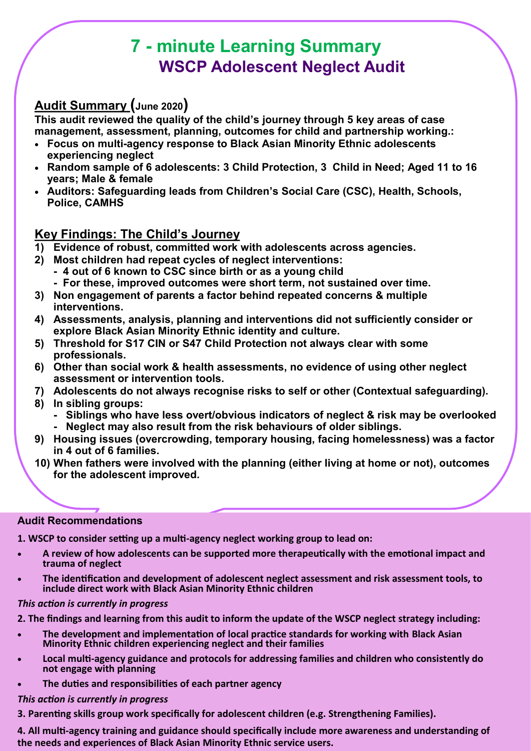# **7 - minute Learning Summary WSCP Adolescent Neglect Audit**

# **Audit Summary (June 2020)**

**This audit reviewed the quality of the child's journey through 5 key areas of case management, assessment, planning, outcomes for child and partnership working.:**

- **Focus on multi-agency response to Black Asian Minority Ethnic adolescents experiencing neglect**
- **Random sample of 6 adolescents: 3 Child Protection, 3 Child in Need; Aged 11 to 16 years; Male & female**
- **Auditors: Safeguarding leads from Children's Social Care (CSC), Health, Schools, Police, CAMHS**

# **Key Findings: The Child's Journey**

- **1) Evidence of robust, committed work with adolescents across agencies.**
- **2) Most children had repeat cycles of neglect interventions:** 
	- **- 4 out of 6 known to CSC since birth or as a young child - For these, improved outcomes were short term, not sustained over time.**
- **3) Non engagement of parents a factor behind repeated concerns & multiple interventions.**
- **4) Assessments, analysis, planning and interventions did not sufficiently consider or explore Black Asian Minority Ethnic identity and culture.**
- **5) Threshold for S17 CIN or S47 Child Protection not always clear with some professionals.**
- **6) Other than social work & health assessments, no evidence of using other neglect assessment or intervention tools.**
- **7) Adolescents do not always recognise risks to self or other (Contextual safeguarding).**
- **8) In sibling groups:** 
	- **- Siblings who have less overt/obvious indicators of neglect & risk may be overlooked - Neglect may also result from the risk behaviours of older siblings.**
- **9) Housing issues (overcrowding, temporary housing, facing homelessness) was a factor in 4 out of 6 families.**
- **10) When fathers were involved with the planning (either living at home or not), outcomes for the adolescent improved.**

# **Audit Recommendations**

**1. WSCP to consider setting up a multi-agency neglect working group to lead on:** 

- **A review of how adolescents can be supported more therapeutically with the emotional impact and trauma of neglect**
- **The identification and development of adolescent neglect assessment and risk assessment tools, to include direct work with Black Asian Minority Ethnic children**

## *This action is currently in progress*

**2. The findings and learning from this audit to inform the update of the WSCP neglect strategy including:**

- **The development and implementation of local practice standards for working with Black Asian Minority Ethnic children experiencing neglect and their families**
- **Local multi-agency guidance and protocols for addressing families and children who consistently do not engage with planning**
- **The duties and responsibilities of each partner agency**

## *This action is currently in progress*

**3. Parenting skills group work specifically for adolescent children (e.g. Strengthening Families).**

**4. All multi-agency training and guidance should specifically include more awareness and understanding of the needs and experiences of Black Asian Minority Ethnic service users.**